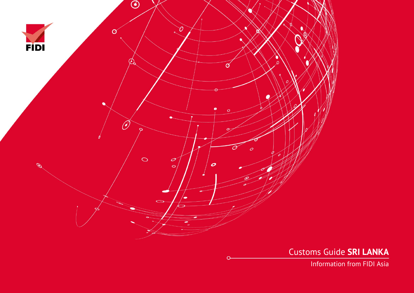

Customs Guide **SRI LANKA**

Information from FIDI Asia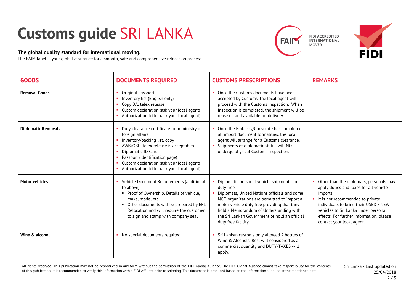## **Customs guide** SRI LANKA

## **The global quality standard for international moving.**

The FAIM label is your global assurance for a smooth, safe and comprehensive relocation process.





| <b>GOODS</b>               | <b>DOCUMENTS REQUIRED</b>                                                                                                                                                                                                                                                                   | <b>CUSTOMS PRESCRIPTIONS</b>                                                                                                                                                                                                                                                                                             | <b>REMARKS</b>                                                                                                                                                                                                                                                                              |
|----------------------------|---------------------------------------------------------------------------------------------------------------------------------------------------------------------------------------------------------------------------------------------------------------------------------------------|--------------------------------------------------------------------------------------------------------------------------------------------------------------------------------------------------------------------------------------------------------------------------------------------------------------------------|---------------------------------------------------------------------------------------------------------------------------------------------------------------------------------------------------------------------------------------------------------------------------------------------|
| <b>Removal Goods</b>       | Original Passport<br>×<br>Inventory list (English only)<br>Copy B/L telex release<br>Custom declaration (ask your local agent)<br>×.<br>Authorization letter (ask your local agent)                                                                                                         | Once the Customs documents have been<br>accepted by Customs, the local agent will<br>proceed with the Customs Inspection. When<br>inspection is completed, the shipment will be<br>released and available for delivery.                                                                                                  |                                                                                                                                                                                                                                                                                             |
| <b>Diplomatic Removals</b> | Duty clearance certificate from ministry of<br>foreign affairs<br>Inventory/packing list, copy<br>AWB/OBL (telex release is acceptable)<br>Diplomatic ID Card<br>Passport (identification page)<br>Custom declaration (ask your local agent)<br>Authorization letter (ask your local agent) | Once the Embassy/Consulate has completed<br>all import document formalities, the local<br>agent will arrange for a Customs clearance.<br>Shipments of diplomatic status will NOT<br>undergo physical Customs Inspection.                                                                                                 |                                                                                                                                                                                                                                                                                             |
| <b>Motor vehicles</b>      | Vehicle Document Requirements (additional<br>to above):<br>• Proof of Ownership, Details of vehicle,<br>make, model etc.<br>• Other documents will be prepared by EFL<br>Relocation and will require the customer<br>to sign and stamp with company seal                                    | Diplomatic personal vehicle shipments are<br>duty free.<br>Diplomats, United Nations officials and some<br>NGO organizations are permitted to import a<br>motor vehicle duty free providing that they<br>hold a Memorandum of Understanding with<br>the Sri Lankan Government or hold an official<br>duty free facility. | Other than the diplomats, personals may<br>apply duties and taxes for all vehicle<br>imports.<br>It is not recommended to private<br>individuals to bring their USED / NEW<br>vehicles to Sri Lanka under personal<br>effects. For further information, please<br>contact your local agent. |
| Wine & alcohol             | • No special documents requited.                                                                                                                                                                                                                                                            | Sri Lankan customs only allowed 2 bottles of<br>Wine & Alcohols. Rest will considered as a<br>commercial quantity and DUTY/TAXES will<br>apply.                                                                                                                                                                          |                                                                                                                                                                                                                                                                                             |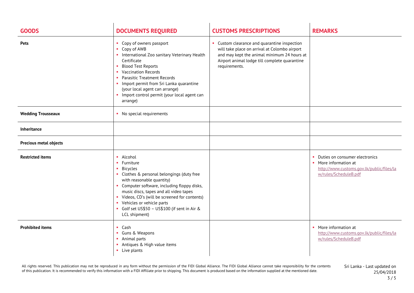| <b>GOODS</b>                  | <b>DOCUMENTS REQUIRED</b>                                                                                                                                                                                                                                                                                                                                                        | <b>CUSTOMS PRESCRIPTIONS</b>                                                                                                                                                                                   | <b>REMARKS</b>                                                                                                                  |
|-------------------------------|----------------------------------------------------------------------------------------------------------------------------------------------------------------------------------------------------------------------------------------------------------------------------------------------------------------------------------------------------------------------------------|----------------------------------------------------------------------------------------------------------------------------------------------------------------------------------------------------------------|---------------------------------------------------------------------------------------------------------------------------------|
| <b>Pets</b>                   | • Copy of owners passport<br>Copy of AWB<br>• International Zoo sanitary Veterinary Health<br>Certificate<br><b>Blood Test Reports</b><br>$\mathbf{H}^{\prime}$<br>• Vaccination Records<br><b>Parasitic Treatment Records</b><br>п.<br>• Import permit from Sri Lanka quarantine<br>(your local agent can arrange)<br>• Import control permit (your local agent can<br>arrange) | • Custom clearance and quarantine inspection<br>will take place on arrival at Colombo airport<br>and may kept the animal minimum 24 hours at<br>Airport animal lodge till complete quarantine<br>requirements. |                                                                                                                                 |
| <b>Wedding Trousseaux</b>     | • No special requirements                                                                                                                                                                                                                                                                                                                                                        |                                                                                                                                                                                                                |                                                                                                                                 |
| <b>Inheritance</b>            |                                                                                                                                                                                                                                                                                                                                                                                  |                                                                                                                                                                                                                |                                                                                                                                 |
| <b>Precious metal objects</b> |                                                                                                                                                                                                                                                                                                                                                                                  |                                                                                                                                                                                                                |                                                                                                                                 |
| <b>Restricted items</b>       | • Alcohol<br>• Furniture<br><b>Bicycles</b><br>• Clothes & personal belongings (duty free<br>with reasonable quantity)<br>• Computer software, including floppy disks,<br>music discs, tapes and all video tapes<br>• Videos, CD's (will be screened for contents)<br>• Vehicles or vehicle parts<br>Golf set US\$50 - US\$100 (if sent in Air &<br>LCL shipment)                |                                                                                                                                                                                                                | • Duties on consumer electronics<br>• More information at<br>http://www.customs.gov.lk/public/files/la<br>w/rules/ScheduleB.pdf |
| <b>Prohibited items</b>       | Cash<br>$\mathbf{H}^{\prime}$<br>Guns & Weapons<br>• Animal parts<br>Antiques & High value items<br>• Live plants                                                                                                                                                                                                                                                                |                                                                                                                                                                                                                | • More information at<br>http://www.customs.gov.lk/public/files/la<br>w/rules/ScheduleB.pdf                                     |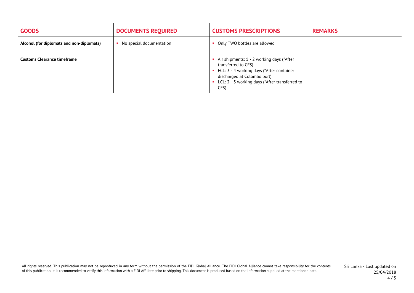| <b>GOODS</b>                              | <b>DOCUMENTS REQUIRED</b> | <b>CUSTOMS PRESCRIPTIONS</b>                                                                                                                                                                               | <b>REMARKS</b> |
|-------------------------------------------|---------------------------|------------------------------------------------------------------------------------------------------------------------------------------------------------------------------------------------------------|----------------|
| Alcohol (for diplomats and non-diplomats) | No special documentation  | Only TWO bottles are allowed                                                                                                                                                                               |                |
| <b>Customs Clearance timeframe</b>        |                           | Air shipments: 1 - 2 working days (*After<br>transferred to CFS)<br>• FCL: 3 - 4 working days (*After container<br>discharged at Colombo port)<br>• LCL: 2 - 3 working days (*After transferred to<br>CFS) |                |